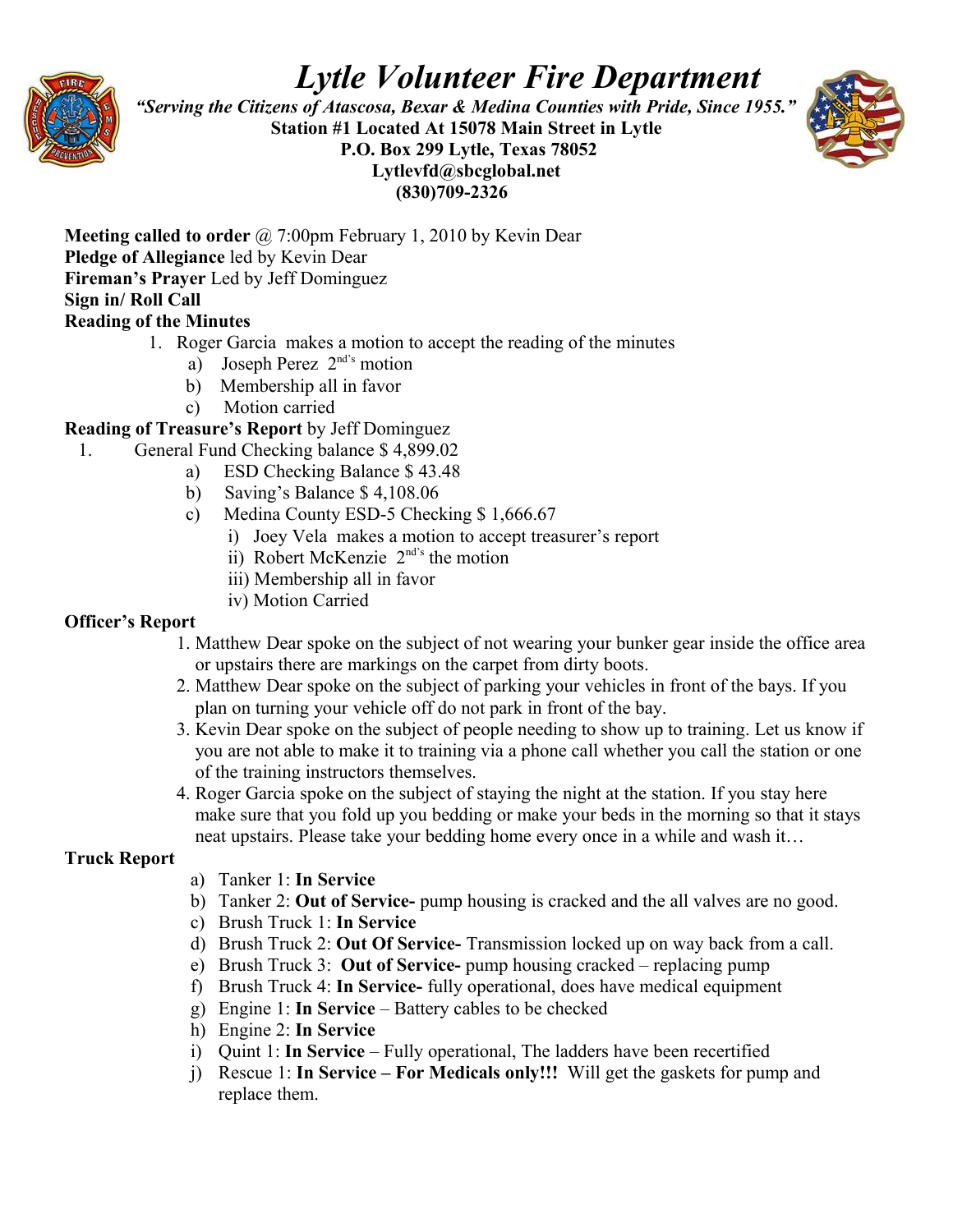

# *Lytle Volunteer Fire Department*

 *"Serving the Citizens of Atascosa, Bexar & Medina Counties with Pride, Since 1955."*  **Station #1 Located At 15078 Main Street in Lytle P.O. Box 299 Lytle, Texas 78052 Lytlevfd@sbcglobal.net (830)709-2326**



**Meeting called to order** @ 7:00pm February 1, 2010 by Kevin Dear **Pledge of Allegiance** led by Kevin Dear **Fireman's Prayer** Led by Jeff Dominguez **Sign in/ Roll Call** 

# **Reading of the Minutes**

- 1. Roger Garcia makes a motion to accept the reading of the minutes
	- a) Joseph Perez  $2^{nd's}$  motion
	- b) Membership all in favor
	- c) Motion carried

# **Reading of Treasure's Report** by Jeff Dominguez

- 1. General Fund Checking balance \$ 4,899.02
	- a) ESD Checking Balance \$ 43.48
	- b) Saving's Balance \$ 4,108.06
	- c) Medina County ESD-5 Checking \$ 1,666.67
		- i) Joey Vela makes a motion to accept treasurer's report
		- ii) Robert McKenzie  $2<sup>nd's</sup>$  the motion
		- iii) Membership all in favor
		- iv) Motion Carried

# **Officer's Report**

- 1. Matthew Dear spoke on the subject of not wearing your bunker gear inside the office area or upstairs there are markings on the carpet from dirty boots.
- 2. Matthew Dear spoke on the subject of parking your vehicles in front of the bays. If you plan on turning your vehicle off do not park in front of the bay.
- 3. Kevin Dear spoke on the subject of people needing to show up to training. Let us know if you are not able to make it to training via a phone call whether you call the station or one of the training instructors themselves.
- 4. Roger Garcia spoke on the subject of staying the night at the station. If you stay here make sure that you fold up you bedding or make your beds in the morning so that it stays neat upstairs. Please take your bedding home every once in a while and wash it…

# **Truck Report**

- a) Tanker 1: **In Service**
- b) Tanker 2: **Out of Service-** pump housing is cracked and the all valves are no good.
- c) Brush Truck 1: **In Service**
- d) Brush Truck 2: **Out Of Service-** Transmission locked up on way back from a call.
- e) Brush Truck 3: **Out of Service-** pump housing cracked replacing pump
- f) Brush Truck 4: **In Service-** fully operational, does have medical equipment
- g) Engine 1: **In Service** Battery cables to be checked
- h) Engine 2: **In Service**
- i) Quint 1: **In Service** Fully operational, The ladders have been recertified
- j) Rescue 1: **In Service For Medicals only!!!** Will get the gaskets for pump and replace them.